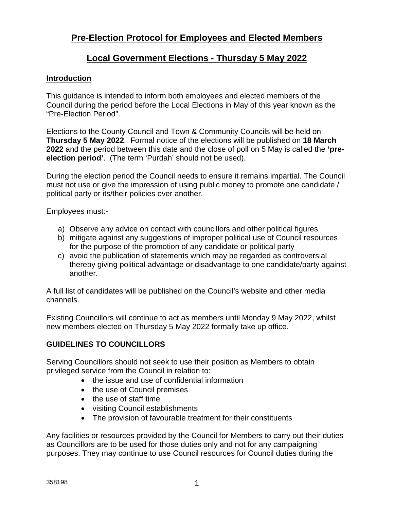# **Pre-Election Protocol for Employees and Elected Members**

# **Local Government Elections - Thursday 5 May 2022**

## **Introduction**

This guidance is intended to inform both employees and elected members of the Council during the period before the Local Elections in May of this year known as the "Pre-Election Period".

Elections to the County Council and Town & Community Councils will be held on **Thursday 5 May 2022**. Formal notice of the elections will be published on **18 March 2022** and the period between this date and the close of poll on 5 May is called the **'preelection period'**. (The term 'Purdah' should not be used).

During the election period the Council needs to ensure it remains impartial. The Council must not use or give the impression of using public money to promote one candidate / political party or its/their policies over another.

Employees must:-

- a) Observe any advice on contact with councillors and other political figures
- b) mitigate against any suggestions of improper political use of Council resources for the purpose of the promotion of any candidate or political party
- c) avoid the publication of statements which may be regarded as controversial thereby giving political advantage or disadvantage to one candidate/party against another.

A full list of candidates will be published on the Council's website and other media channels.

Existing Councillors will continue to act as members until Monday 9 May 2022, whilst new members elected on Thursday 5 May 2022 formally take up office.

# **GUIDELINES TO COUNCILLORS**

Serving Councillors should not seek to use their position as Members to obtain privileged service from the Council in relation to:

- the issue and use of confidential information
- the use of Council premises
- the use of staff time
- visiting Council establishments
- The provision of favourable treatment for their constituents

Any facilities or resources provided by the Council for Members to carry out their duties as Councillors are to be used for those duties only and not for any campaigning purposes. They may continue to use Council resources for Council duties during the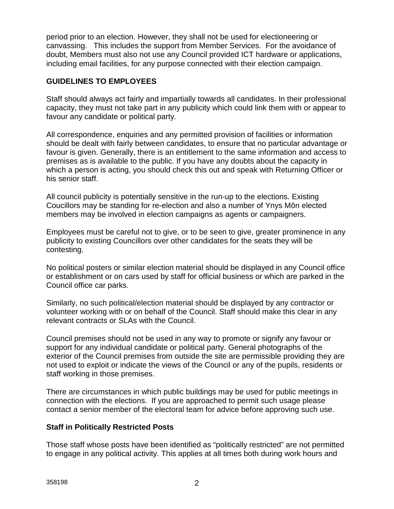period prior to an election. However, they shall not be used for electioneering or canvassing. This includes the support from Member Services. For the avoidance of doubt, Members must also not use any Council provided ICT hardware or applications, including email facilities, for any purpose connected with their election campaign.

# **GUIDELINES TO EMPLOYEES**

Staff should always act fairly and impartially towards all candidates. In their professional capacity, they must not take part in any publicity which could link them with or appear to favour any candidate or political party.

All correspondence, enquiries and any permitted provision of facilities or information should be dealt with fairly between candidates, to ensure that no particular advantage or favour is given. Generally, there is an entitlement to the same information and access to premises as is available to the public. If you have any doubts about the capacity in which a person is acting, you should check this out and speak with Returning Officer or his senior staff.

All council publicity is potentially sensitive in the run-up to the elections. Existing Coucillors may be standing for re-election and also a number of Ynys Môn elected members may be involved in election campaigns as agents or campaigners.

Employees must be careful not to give, or to be seen to give, greater prominence in any publicity to existing Councillors over other candidates for the seats they will be contesting.

No political posters or similar election material should be displayed in any Council office or establishment or on cars used by staff for official business or which are parked in the Council office car parks.

Similarly, no such political/election material should be displayed by any contractor or volunteer working with or on behalf of the Council. Staff should make this clear in any relevant contracts or SLAs with the Council.

Council premises should not be used in any way to promote or signify any favour or support for any individual candidate or political party. General photographs of the exterior of the Council premises from outside the site are permissible providing they are not used to exploit or indicate the views of the Council or any of the pupils, residents or staff working in those premises.

There are circumstances in which public buildings may be used for public meetings in connection with the elections. If you are approached to permit such usage please contact a senior member of the electoral team for advice before approving such use.

## **Staff in Politically Restricted Posts**

Those staff whose posts have been identified as "politically restricted" are not permitted to engage in any political activity. This applies at all times both during work hours and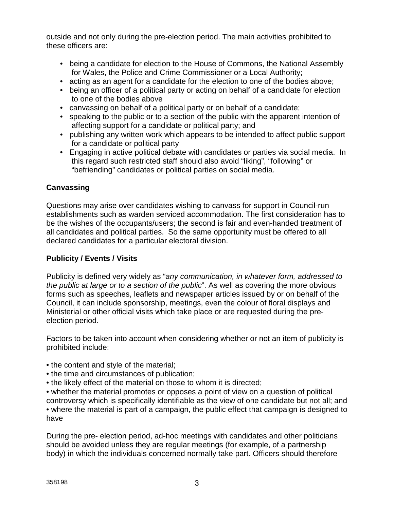outside and not only during the pre-election period. The main activities prohibited to these officers are:

- being a candidate for election to the House of Commons, the National Assembly for Wales, the Police and Crime Commissioner or a Local Authority;
- acting as an agent for a candidate for the election to one of the bodies above;
- being an officer of a political party or acting on behalf of a candidate for election to one of the bodies above
- canvassing on behalf of a political party or on behalf of a candidate;
- speaking to the public or to a section of the public with the apparent intention of affecting support for a candidate or political party; and
- publishing any written work which appears to be intended to affect public support for a candidate or political party
- Engaging in active political debate with candidates or parties via social media. In this regard such restricted staff should also avoid "liking", "following" or "befriending" candidates or political parties on social media.

# **Canvassing**

Questions may arise over candidates wishing to canvass for support in Council-run establishments such as warden serviced accommodation. The first consideration has to be the wishes of the occupants/users; the second is fair and even-handed treatment of all candidates and political parties. So the same opportunity must be offered to all declared candidates for a particular electoral division.

# **Publicity / Events / Visits**

Publicity is defined very widely as "*any communication, in whatever form, addressed to the public at large or to a section of the public*". As well as covering the more obvious forms such as speeches, leaflets and newspaper articles issued by or on behalf of the Council, it can include sponsorship, meetings, even the colour of floral displays and Ministerial or other official visits which take place or are requested during the preelection period.

Factors to be taken into account when considering whether or not an item of publicity is prohibited include:

- the content and style of the material;
- the time and circumstances of publication;
- the likely effect of the material on those to whom it is directed;

• whether the material promotes or opposes a point of view on a question of political controversy which is specifically identifiable as the view of one candidate but not all; and • where the material is part of a campaign, the public effect that campaign is designed to have

During the pre- election period, ad-hoc meetings with candidates and other politicians should be avoided unless they are regular meetings (for example, of a partnership body) in which the individuals concerned normally take part. Officers should therefore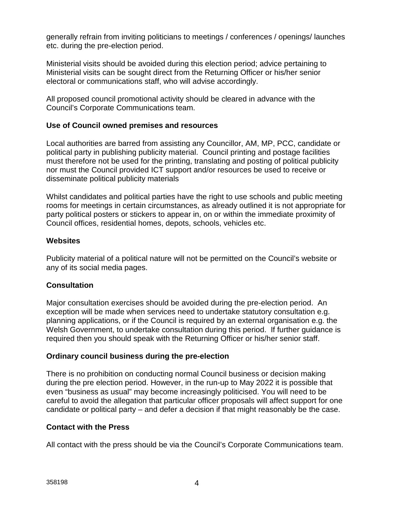generally refrain from inviting politicians to meetings / conferences / openings/ launches etc. during the pre-election period.

Ministerial visits should be avoided during this election period; advice pertaining to Ministerial visits can be sought direct from the Returning Officer or his/her senior electoral or communications staff, who will advise accordingly.

All proposed council promotional activity should be cleared in advance with the Council's Corporate Communications team.

# **Use of Council owned premises and resources**

Local authorities are barred from assisting any Councillor, AM, MP, PCC, candidate or political party in publishing publicity material. Council printing and postage facilities must therefore not be used for the printing, translating and posting of political publicity nor must the Council provided ICT support and/or resources be used to receive or disseminate political publicity materials

Whilst candidates and political parties have the right to use schools and public meeting rooms for meetings in certain circumstances, as already outlined it is not appropriate for party political posters or stickers to appear in, on or within the immediate proximity of Council offices, residential homes, depots, schools, vehicles etc.

## **Websites**

Publicity material of a political nature will not be permitted on the Council's website or any of its social media pages.

# **Consultation**

Major consultation exercises should be avoided during the pre-election period. An exception will be made when services need to undertake statutory consultation e.g. planning applications, or if the Council is required by an external organisation e.g. the Welsh Government, to undertake consultation during this period. If further guidance is required then you should speak with the Returning Officer or his/her senior staff.

## **Ordinary council business during the pre-election**

There is no prohibition on conducting normal Council business or decision making during the pre election period. However, in the run-up to May 2022 it is possible that even "business as usual" may become increasingly politicised. You will need to be careful to avoid the allegation that particular officer proposals will affect support for one candidate or political party – and defer a decision if that might reasonably be the case.

## **Contact with the Press**

All contact with the press should be via the Council's Corporate Communications team.